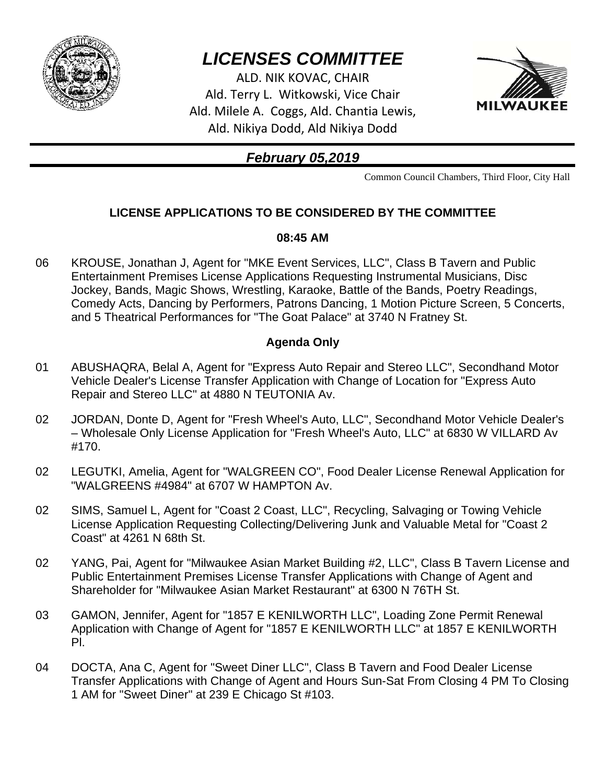

# *LICENSES COMMITTEE*

ALD. NIK KOVAC, CHAIR Ald. Terry L. Witkowski, Vice Chair Ald. Milele A. Coggs, Ald. Chantia Lewis, Ald. Nikiya Dodd, Ald Nikiya Dodd



## *February 05,2019*

Common Council Chambers, Third Floor, City Hall

### **LICENSE APPLICATIONS TO BE CONSIDERED BY THE COMMITTEE**

#### **08:45 AM**

06 KROUSE, Jonathan J, Agent for "MKE Event Services, LLC", Class B Tavern and Public Entertainment Premises License Applications Requesting Instrumental Musicians, Disc Jockey, Bands, Magic Shows, Wrestling, Karaoke, Battle of the Bands, Poetry Readings, Comedy Acts, Dancing by Performers, Patrons Dancing, 1 Motion Picture Screen, 5 Concerts, and 5 Theatrical Performances for "The Goat Palace" at 3740 N Fratney St.

#### **Agenda Only**

- 01 ABUSHAQRA, Belal A, Agent for "Express Auto Repair and Stereo LLC", Secondhand Motor Vehicle Dealer's License Transfer Application with Change of Location for "Express Auto Repair and Stereo LLC" at 4880 N TEUTONIA Av.
- 02 JORDAN, Donte D, Agent for "Fresh Wheel's Auto, LLC", Secondhand Motor Vehicle Dealer's – Wholesale Only License Application for "Fresh Wheel's Auto, LLC" at 6830 W VILLARD Av #170.
- 02 LEGUTKI, Amelia, Agent for "WALGREEN CO", Food Dealer License Renewal Application for "WALGREENS #4984" at 6707 W HAMPTON Av.
- 02 SIMS, Samuel L, Agent for "Coast 2 Coast, LLC", Recycling, Salvaging or Towing Vehicle License Application Requesting Collecting/Delivering Junk and Valuable Metal for "Coast 2 Coast" at 4261 N 68th St.
- 02 YANG, Pai, Agent for "Milwaukee Asian Market Building #2, LLC", Class B Tavern License and Public Entertainment Premises License Transfer Applications with Change of Agent and Shareholder for "Milwaukee Asian Market Restaurant" at 6300 N 76TH St.
- 03 GAMON, Jennifer, Agent for "1857 E KENILWORTH LLC", Loading Zone Permit Renewal Application with Change of Agent for "1857 E KENILWORTH LLC" at 1857 E KENILWORTH Pl.
- 04 DOCTA, Ana C, Agent for "Sweet Diner LLC", Class B Tavern and Food Dealer License Transfer Applications with Change of Agent and Hours Sun-Sat From Closing 4 PM To Closing 1 AM for "Sweet Diner" at 239 E Chicago St #103.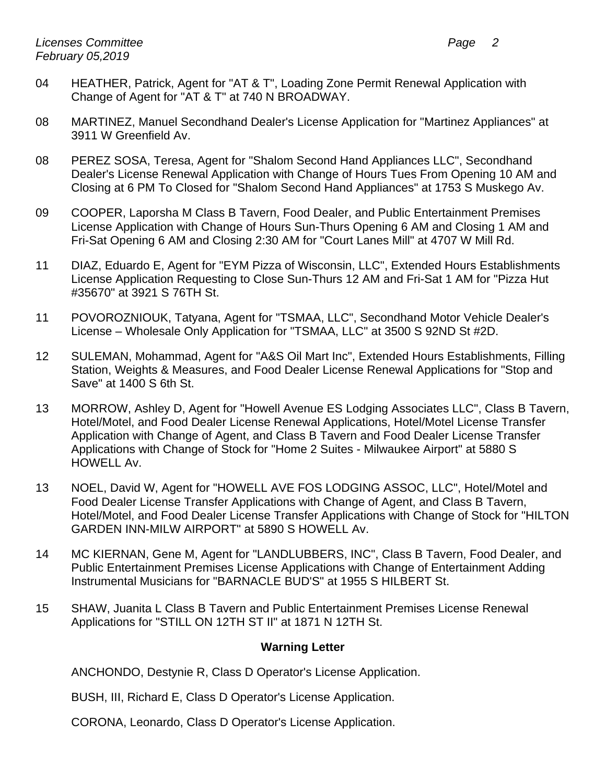- 04 HEATHER, Patrick, Agent for "AT & T", Loading Zone Permit Renewal Application with Change of Agent for "AT & T" at 740 N BROADWAY.
- 08 MARTINEZ, Manuel Secondhand Dealer's License Application for "Martinez Appliances" at 3911 W Greenfield Av.
- 08 PEREZ SOSA, Teresa, Agent for "Shalom Second Hand Appliances LLC", Secondhand Dealer's License Renewal Application with Change of Hours Tues From Opening 10 AM and Closing at 6 PM To Closed for "Shalom Second Hand Appliances" at 1753 S Muskego Av.
- 09 COOPER, Laporsha M Class B Tavern, Food Dealer, and Public Entertainment Premises License Application with Change of Hours Sun-Thurs Opening 6 AM and Closing 1 AM and Fri-Sat Opening 6 AM and Closing 2:30 AM for "Court Lanes Mill" at 4707 W Mill Rd.
- 11 DIAZ, Eduardo E, Agent for "EYM Pizza of Wisconsin, LLC", Extended Hours Establishments License Application Requesting to Close Sun-Thurs 12 AM and Fri-Sat 1 AM for "Pizza Hut #35670" at 3921 S 76TH St.
- 11 POVOROZNIOUK, Tatyana, Agent for "TSMAA, LLC", Secondhand Motor Vehicle Dealer's License – Wholesale Only Application for "TSMAA, LLC" at 3500 S 92ND St #2D.
- 12 SULEMAN, Mohammad, Agent for "A&S Oil Mart Inc", Extended Hours Establishments, Filling Station, Weights & Measures, and Food Dealer License Renewal Applications for "Stop and Save" at 1400 S 6th St.
- 13 MORROW, Ashley D, Agent for "Howell Avenue ES Lodging Associates LLC", Class B Tavern, Hotel/Motel, and Food Dealer License Renewal Applications, Hotel/Motel License Transfer Application with Change of Agent, and Class B Tavern and Food Dealer License Transfer Applications with Change of Stock for "Home 2 Suites - Milwaukee Airport" at 5880 S HOWELL Av.
- 13 NOEL, David W, Agent for "HOWELL AVE FOS LODGING ASSOC, LLC", Hotel/Motel and Food Dealer License Transfer Applications with Change of Agent, and Class B Tavern, Hotel/Motel, and Food Dealer License Transfer Applications with Change of Stock for "HILTON GARDEN INN-MILW AIRPORT" at 5890 S HOWELL Av.
- 14 MC KIERNAN, Gene M, Agent for "LANDLUBBERS, INC", Class B Tavern, Food Dealer, and Public Entertainment Premises License Applications with Change of Entertainment Adding Instrumental Musicians for "BARNACLE BUD'S" at 1955 S HILBERT St.
- 15 SHAW, Juanita L Class B Tavern and Public Entertainment Premises License Renewal Applications for "STILL ON 12TH ST II" at 1871 N 12TH St.

#### **Warning Letter**

ANCHONDO, Destynie R, Class D Operator's License Application.

BUSH, III, Richard E, Class D Operator's License Application.

CORONA, Leonardo, Class D Operator's License Application.